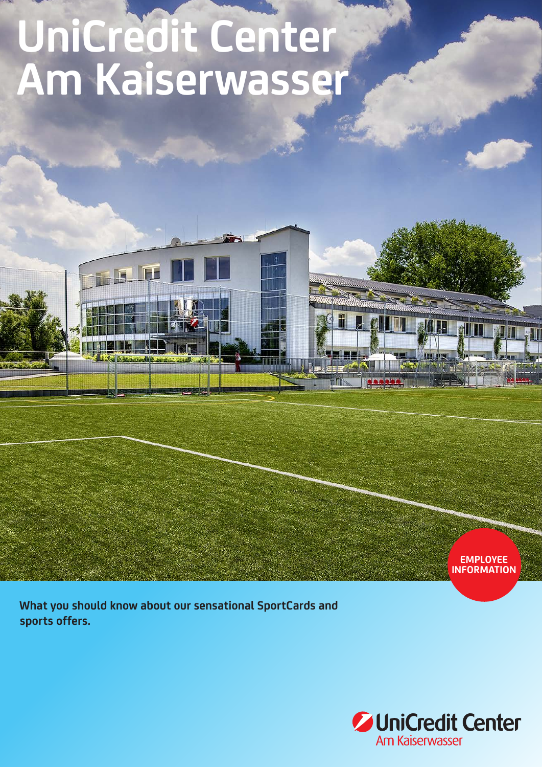## **UniCredit Center Am Kaiserwasser**



**What you should know about our sensational SportCards and sports offers.**

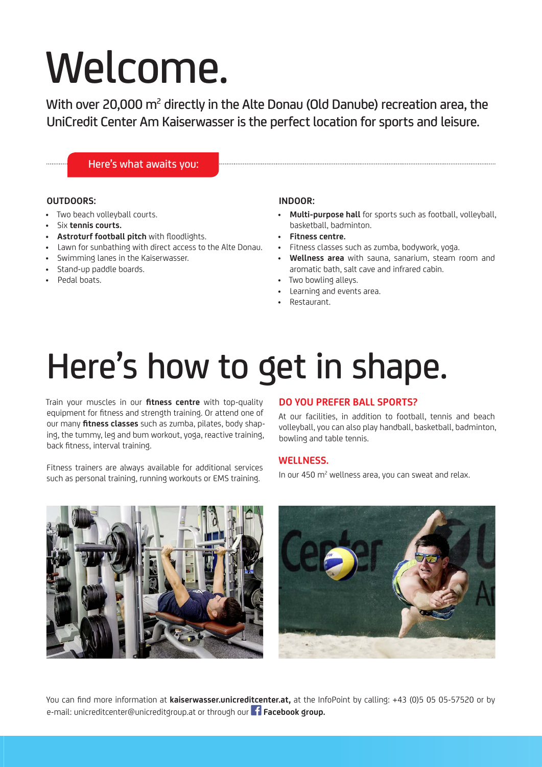# Welcome.

With over 20,000  $m^2$  directly in the Alte Donau (Old Danube) recreation area, the UniCredit Center Am Kaiserwasser is the perfect location for sports and leisure.

#### Here's what awaits you:

#### **OUTDOORS:**

- Two beach volleyball courts.
- Six **tennis courts.**
- **Astroturf football pitch** with floodlights.
- Lawn for sunbathing with direct access to the Alte Donau.
- Swimming lanes in the Kaiserwasser.
- Stand-up paddle boards.
- Pedal boats.

#### **INDOOR:**

- **Multi-purpose hall** for sports such as football, volleyball, basketball, badminton.
- **Fitness centre.**
- Fitness classes such as zumba, bodywork, yoga.
- **Wellness area** with sauna, sanarium, steam room and aromatic bath, salt cave and infrared cabin.
- Two bowling alleys.
- Learning and events area.
- Restaurant.

### Here's how to get in shape.

Train your muscles in our **fitness centre** with top-quality equipment for fitness and strength training. Or attend one of our many **fitness classes** such as zumba, pilates, body shaping, the tummy, leg and bum workout, yoga, reactive training, back fitness, interval training.

Fitness trainers are always available for additional services such as personal training, running workouts or EMS training.

#### **DO YOU PREFER BALL SPORTS?**

At our facilities, in addition to football, tennis and beach volleyball, you can also play handball, basketball, badminton, bowling and table tennis.

#### **WELLNESS.**

In our 450 m<sup>2</sup> wellness area, you can sweat and relax.





You can find more information at **kaiserwasser.unicreditcenter.at,** at the InfoPoint by calling: +43 (0)5 05 05-57520 or by e-mail: unicreditcenter@unicreditgroup.at or through our **Facebook group.**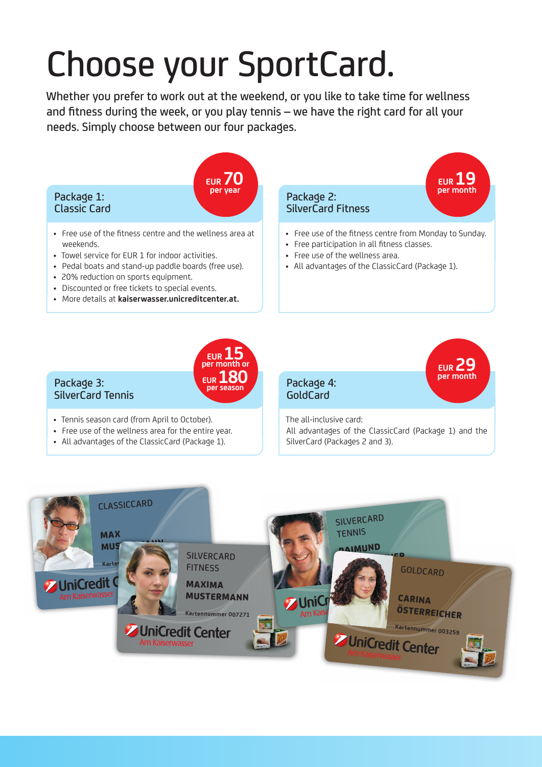### Choose your SportCard.

Whether you prefer to work out at the weekend, or you like to take time for wellness and fitness during the week, or you play tennis – we have the right card for all your needs. Simply choose between our four packages.



- 
- All advantages of the ClassicCard (Package 1).

All advantages of the ClassicCard (Package 1) and the SilverCard (Packages 2 and 3).

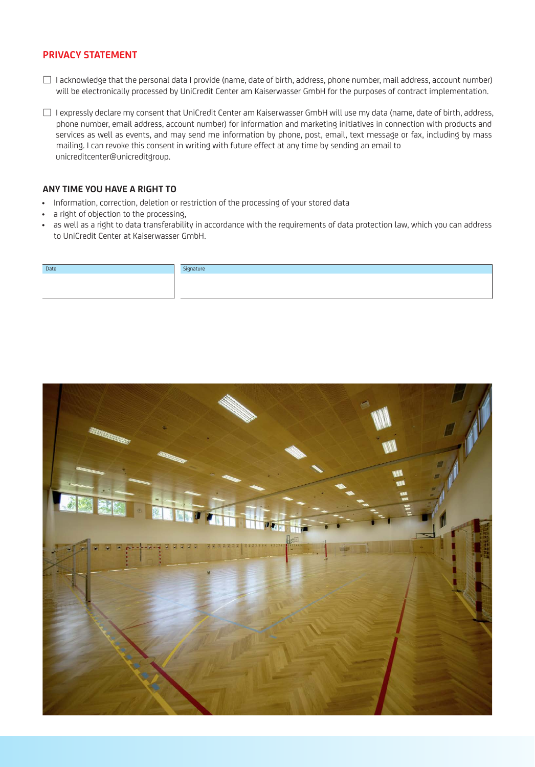#### **PRIVACY STATEMENT**

- $\Box$  I acknowledge that the personal data I provide (name, date of birth, address, phone number, mail address, account number) will be electronically processed by UniCredit Center am Kaiserwasser GmbH for the purposes of contract implementation.
- □ I expressly declare my consent that UniCredit Center am Kaiserwasser GmbH will use my data (name, date of birth, address, phone number, email address, account number) for information and marketing initiatives in connection with products and services as well as events, and may send me information by phone, post, email, text message or fax, including by mass mailing. I can revoke this consent in writing with future effect at any time by sending an email to unicreditcenter@unicreditgroup.

#### **ANY TIME YOU HAVE A RIGHT TO**

- Information, correction, deletion or restriction of the processing of your stored data
- a right of objection to the processing,
- as well as a right to data transferability in accordance with the requirements of data protection law, which you can address to UniCredit Center at Kaiserwasser GmbH.

| Date | Signature |
|------|-----------|
|      |           |
|      |           |
|      |           |
|      |           |